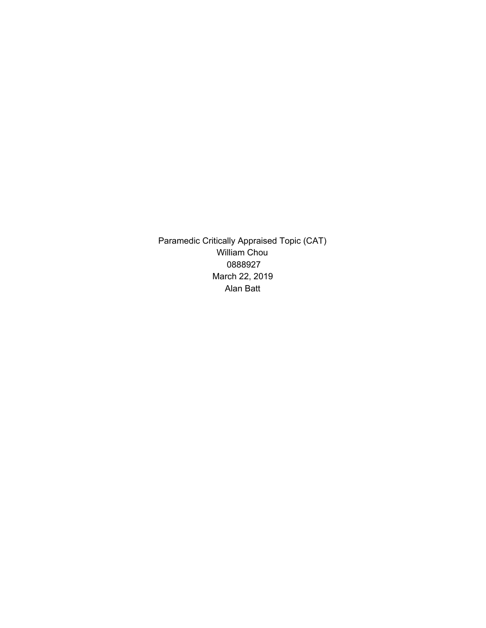Paramedic Critically Appraised Topic (CAT) William Chou 0888927 March 22, 2019 Alan Batt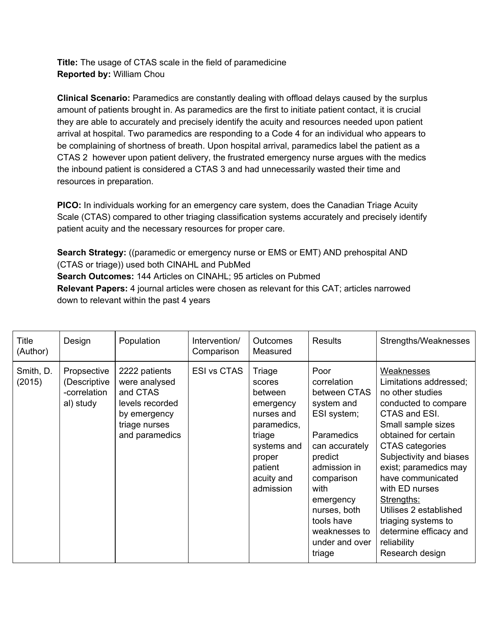**Title:** The usage of CTAS scale in the field of paramedicine **Reported by:** William Chou

**Clinical Scenario:** Paramedics are constantly dealing with offload delays caused by the surplus amount of patients brought in. As paramedics are the first to initiate patient contact, it is crucial they are able to accurately and precisely identify the acuity and resources needed upon patient arrival at hospital. Two paramedics are responding to a Code 4 for an individual who appears to be complaining of shortness of breath. Upon hospital arrival, paramedics label the patient as a CTAS 2 however upon patient delivery, the frustrated emergency nurse argues with the medics the inbound patient is considered a CTAS 3 and had unnecessarily wasted their time and resources in preparation.

**PICO:** In individuals working for an emergency care system, does the Canadian Triage Acuity Scale (CTAS) compared to other triaging classification systems accurately and precisely identify patient acuity and the necessary resources for proper care.

**Search Strategy:** ((paramedic or emergency nurse or EMS or EMT) AND prehospital AND (CTAS or triage)) used both CINAHL and PubMed **Search Outcomes:** 144 Articles on CINAHL; 95 articles on Pubmed **Relevant Papers:** 4 journal articles were chosen as relevant for this CAT; articles narrowed down to relevant within the past 4 years

| Title<br>(Author)   | Design                                                   | Population                                                                                                       | Intervention/<br>Comparison | <b>Outcomes</b><br>Measured                                                                                                                    | <b>Results</b>                                                                                                                                                                                                                            | Strengths/Weaknesses                                                                                                                                                                                                                                                                                                                                                                     |
|---------------------|----------------------------------------------------------|------------------------------------------------------------------------------------------------------------------|-----------------------------|------------------------------------------------------------------------------------------------------------------------------------------------|-------------------------------------------------------------------------------------------------------------------------------------------------------------------------------------------------------------------------------------------|------------------------------------------------------------------------------------------------------------------------------------------------------------------------------------------------------------------------------------------------------------------------------------------------------------------------------------------------------------------------------------------|
| Smith, D.<br>(2015) | Propsective<br>(Descriptive<br>-correlation<br>al) study | 2222 patients<br>were analysed<br>and CTAS<br>levels recorded<br>by emergency<br>triage nurses<br>and paramedics | <b>ESI vs CTAS</b>          | Triage<br>scores<br>between<br>emergency<br>nurses and<br>paramedics,<br>triage<br>systems and<br>proper<br>patient<br>acuity and<br>admission | Poor<br>correlation<br>between CTAS<br>system and<br>ESI system;<br>Paramedics<br>can accurately<br>predict<br>admission in<br>comparison<br>with<br>emergency<br>nurses, both<br>tools have<br>weaknesses to<br>under and over<br>triage | Weaknesses<br>Limitations addressed;<br>no other studies<br>conducted to compare<br>CTAS and ESI.<br>Small sample sizes<br>obtained for certain<br>CTAS categories<br>Subjectivity and biases<br>exist; paramedics may<br>have communicated<br>with ED nurses<br>Strengths:<br>Utilises 2 established<br>triaging systems to<br>determine efficacy and<br>reliability<br>Research design |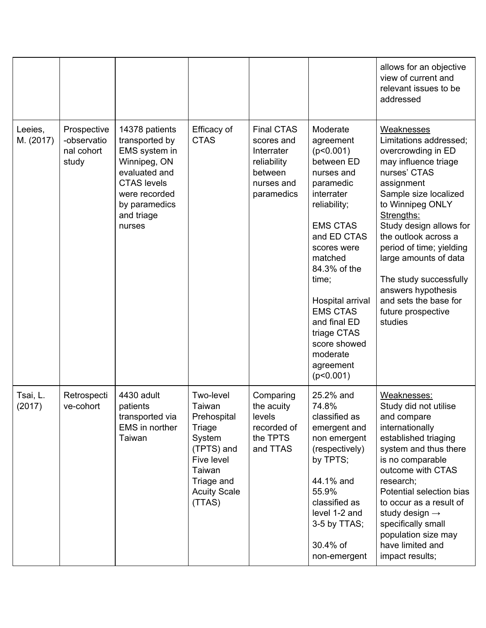|                      |                                                   |                                                                                                                                                                    |                                                                                                                                             |                                                                                                     |                                                                                                                                                                                                                                                                                                                            | allows for an objective<br>view of current and<br>relevant issues to be<br>addressed                                                                                                                                                                                                                                                                                                                 |
|----------------------|---------------------------------------------------|--------------------------------------------------------------------------------------------------------------------------------------------------------------------|---------------------------------------------------------------------------------------------------------------------------------------------|-----------------------------------------------------------------------------------------------------|----------------------------------------------------------------------------------------------------------------------------------------------------------------------------------------------------------------------------------------------------------------------------------------------------------------------------|------------------------------------------------------------------------------------------------------------------------------------------------------------------------------------------------------------------------------------------------------------------------------------------------------------------------------------------------------------------------------------------------------|
| Leeies,<br>M. (2017) | Prospective<br>-observatio<br>nal cohort<br>study | 14378 patients<br>transported by<br>EMS system in<br>Winnipeg, ON<br>evaluated and<br><b>CTAS levels</b><br>were recorded<br>by paramedics<br>and triage<br>nurses | Efficacy of<br><b>CTAS</b>                                                                                                                  | <b>Final CTAS</b><br>scores and<br>Interrater<br>reliability<br>between<br>nurses and<br>paramedics | Moderate<br>agreement<br>(p<0.001)<br>between ED<br>nurses and<br>paramedic<br>interrater<br>reliability;<br><b>EMS CTAS</b><br>and ED CTAS<br>scores were<br>matched<br>84.3% of the<br>time;<br>Hospital arrival<br><b>EMS CTAS</b><br>and final ED<br>triage CTAS<br>score showed<br>moderate<br>agreement<br>(p<0.001) | <b>Weaknesses</b><br>Limitations addressed:<br>overcrowding in ED<br>may influence triage<br>nurses' CTAS<br>assignment<br>Sample size localized<br>to Winnipeg ONLY<br>Strengths:<br>Study design allows for<br>the outlook across a<br>period of time; yielding<br>large amounts of data<br>The study successfully<br>answers hypothesis<br>and sets the base for<br>future prospective<br>studies |
| Tsai, L.<br>(2017)   | Retrospecti<br>ve-cohort                          | 4430 adult<br>patients<br>transported via<br>EMS in norther<br>Taiwan                                                                                              | Two-level<br>Taiwan<br>Prehospital<br>Triage<br>System<br>(TPTS) and<br>Five level<br>Taiwan<br>Triage and<br><b>Acuity Scale</b><br>(TTAS) | Comparing<br>the acuity<br>levels<br>recorded of<br>the TPTS<br>and TTAS                            | 25.2% and<br>74.8%<br>classified as<br>emergent and<br>non emergent<br>(respectively)<br>by TPTS;<br>44.1% and<br>55.9%<br>classified as<br>level 1-2 and<br>3-5 by TTAS;<br>30.4% of<br>non-emergent                                                                                                                      | Weaknesses:<br>Study did not utilise<br>and compare<br>internationally<br>established triaging<br>system and thus there<br>is no comparable<br>outcome with CTAS<br>research;<br>Potential selection bias<br>to occur as a result of<br>study design $\rightarrow$<br>specifically small<br>population size may<br>have limited and<br>impact results;                                               |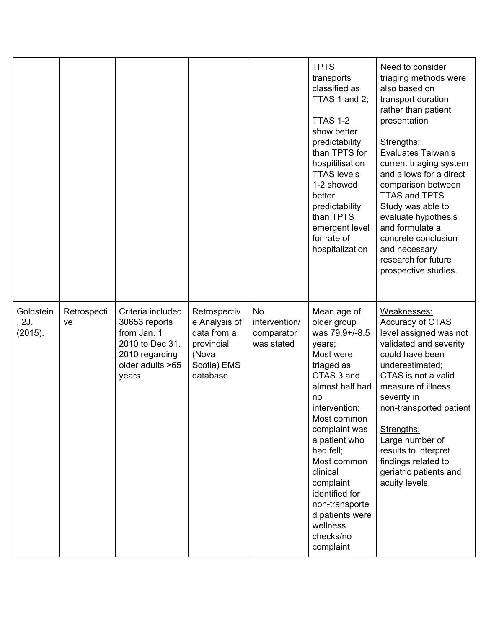|                               |                   |                                                                                                                     |                                                                                                |                                                        | <b>TPTS</b><br>transports<br>classified as<br>TTAS 1 and 2;<br>TTAS 1-2<br>show better<br>predictability<br>than TPTS for<br>hospitilisation<br><b>TTAS levels</b><br>1-2 showed<br>better<br>predictability<br>than TPTS<br>emergent level<br>for rate of<br>hospitalization                                                                | Need to consider<br>triaging methods were<br>also based on<br>transport duration<br>rather than patient<br>presentation<br>Strengths:<br><b>Evaluates Taiwan's</b><br>current triaging system<br>and allows for a direct<br>comparison between<br><b>TTAS and TPTS</b><br>Study was able to<br>evaluate hypothesis<br>and formulate a<br>concrete conclusion<br>and necessary<br>research for future<br>prospective studies. |
|-------------------------------|-------------------|---------------------------------------------------------------------------------------------------------------------|------------------------------------------------------------------------------------------------|--------------------------------------------------------|----------------------------------------------------------------------------------------------------------------------------------------------------------------------------------------------------------------------------------------------------------------------------------------------------------------------------------------------|------------------------------------------------------------------------------------------------------------------------------------------------------------------------------------------------------------------------------------------------------------------------------------------------------------------------------------------------------------------------------------------------------------------------------|
| Goldstein<br>, 2J.<br>(2015). | Retrospecti<br>ve | Criteria included<br>30653 reports<br>from Jan. 1<br>2010 to Dec 31,<br>2010 regarding<br>older adults >65<br>years | Retrospectiv<br>e Analysis of<br>data from a<br>provincial<br>(Nova<br>Scotia) EMS<br>database | <b>No</b><br>intervention/<br>comparator<br>was stated | Mean age of<br>older group<br>was 79.9+/-8.5<br>years;<br>Most were<br>triaged as<br>CTAS 3 and<br>almost half had<br>no<br>intervention;<br>Most common<br>complaint was<br>a patient who<br>had fell;<br>Most common<br>clinical<br>complaint<br>identified for<br>non-transporte<br>d patients were<br>wellness<br>checks/no<br>complaint | Weaknesses:<br>Accuracy of CTAS<br>level assigned was not<br>validated and severity<br>could have been<br>underestimated;<br>CTAS is not a valid<br>measure of illness<br>severity in<br>non-transported patient<br>Strengths:<br>Large number of<br>results to interpret<br>findings related to<br>geriatric patients and<br>acuity levels                                                                                  |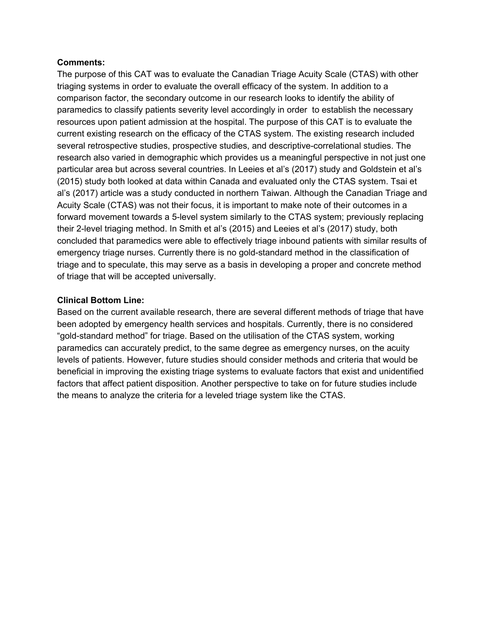## **Comments:**

The purpose of this CAT was to evaluate the Canadian Triage Acuity Scale (CTAS) with other triaging systems in order to evaluate the overall efficacy of the system. In addition to a comparison factor, the secondary outcome in our research looks to identify the ability of paramedics to classify patients severity level accordingly in order to establish the necessary resources upon patient admission at the hospital. The purpose of this CAT is to evaluate the current existing research on the efficacy of the CTAS system. The existing research included several retrospective studies, prospective studies, and descriptive-correlational studies. The research also varied in demographic which provides us a meaningful perspective in not just one particular area but across several countries. In Leeies et al's (2017) study and Goldstein et al's (2015) study both looked at data within Canada and evaluated only the CTAS system. Tsai et al's (2017) article was a study conducted in northern Taiwan. Although the Canadian Triage and Acuity Scale (CTAS) was not their focus, it is important to make note of their outcomes in a forward movement towards a 5-level system similarly to the CTAS system; previously replacing their 2-level triaging method. In Smith et al's (2015) and Leeies et al's (2017) study, both concluded that paramedics were able to effectively triage inbound patients with similar results of emergency triage nurses. Currently there is no gold-standard method in the classification of triage and to speculate, this may serve as a basis in developing a proper and concrete method of triage that will be accepted universally.

## **Clinical Bottom Line:**

Based on the current available research, there are several different methods of triage that have been adopted by emergency health services and hospitals. Currently, there is no considered "gold-standard method" for triage. Based on the utilisation of the CTAS system, working paramedics can accurately predict, to the same degree as emergency nurses, on the acuity levels of patients. However, future studies should consider methods and criteria that would be beneficial in improving the existing triage systems to evaluate factors that exist and unidentified factors that affect patient disposition. Another perspective to take on for future studies include the means to analyze the criteria for a leveled triage system like the CTAS.